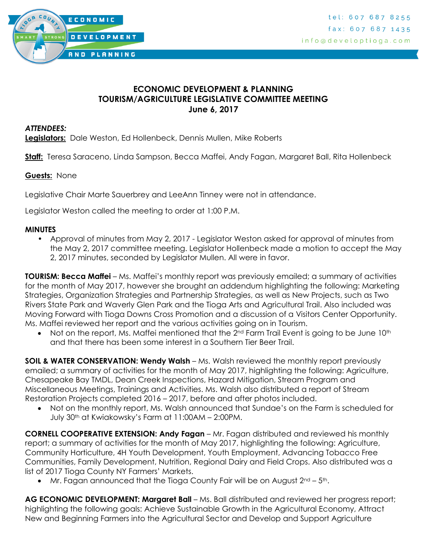

## **ECONOMIC DEVELOPMENT & PLANNING TOURISM/AGRICULTURE LEGISLATIVE COMMITTEE MEETING June 6, 2017**

#### *ATTENDEES:*

**Legislators:** Dale Weston, Ed Hollenbeck, Dennis Mullen, Mike Roberts

**Staff:** Teresa Saraceno, Linda Sampson, Becca Maffei, Andy Fagan, Margaret Ball, Rita Hollenbeck

#### **Guests:** None

Legislative Chair Marte Sauerbrey and LeeAnn Tinney were not in attendance.

Legislator Weston called the meeting to order at 1:00 P.M.

#### **MINUTES**

• Approval of minutes from May 2, 2017 - Legislator Weston asked for approval of minutes from the May 2, 2017 committee meeting. Legislator Hollenbeck made a motion to accept the May 2, 2017 minutes, seconded by Legislator Mullen. All were in favor.

**TOURISM: Becca Maffei** – Ms. Maffei's monthly report was previously emailed; a summary of activities for the month of May 2017, however she brought an addendum highlighting the following: Marketing Strategies, Organization Strategies and Partnership Strategies, as well as New Projects, such as Two Rivers State Park and Waverly Glen Park and the Tioga Arts and Agricultural Trail. Also included was Moving Forward with Tioga Downs Cross Promotion and a discussion of a Visitors Center Opportunity. Ms. Maffei reviewed her report and the various activities going on in Tourism.

Not on the report, Ms. Maffei mentioned that the  $2<sup>nd</sup>$  Farm Trail Event is going to be June 10<sup>th</sup> and that there has been some interest in a Southern Tier Beer Trail.

**SOIL & WATER CONSERVATION: Wendy Walsh** – Ms. Walsh reviewed the monthly report previously emailed; a summary of activities for the month of May 2017, highlighting the following: Agriculture, Chesapeake Bay TMDL, Dean Creek Inspections, Hazard Mitigation, Stream Program and Miscellaneous Meetings, Trainings and Activities. Ms. Walsh also distributed a report of Stream Restoration Projects completed 2016 – 2017, before and after photos included.

 Not on the monthly report, Ms. Walsh announced that Sundae's on the Farm is scheduled for July 30th at Kwiakowsky's Farm at 11:00AM – 2:00PM.

**CORNELL COOPERATIVE EXTENSION: Andy Fagan** – Mr. Fagan distributed and reviewed his monthly report; a summary of activities for the month of May 2017, highlighting the following: Agriculture, Community Horticulture, 4H Youth Development, Youth Employment, Advancing Tobacco Free Communities, Family Development, Nutrition, Regional Dairy and Field Crops. Also distributed was a list of 2017 Tioga County NY Farmers' Markets.

• Mr. Fagan announced that the Tioga County Fair will be on August  $2^{nd}$  –  $5^{th}$ .

**AG ECONOMIC DEVELOPMENT: Margaret Ball** – Ms. Ball distributed and reviewed her progress report; highlighting the following goals: Achieve Sustainable Growth in the Agricultural Economy, Attract New and Beginning Farmers into the Agricultural Sector and Develop and Support Agriculture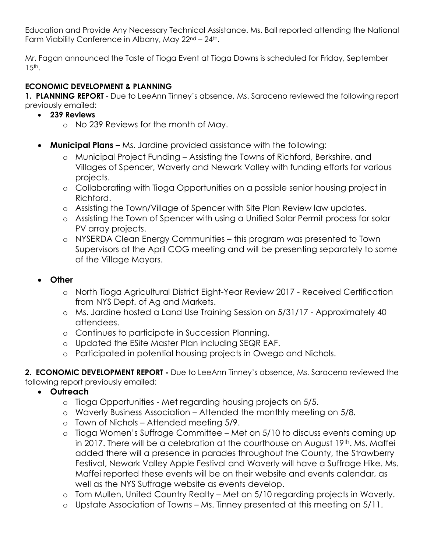Education and Provide Any Necessary Technical Assistance. Ms. Ball reported attending the National Farm Viability Conference in Albany, May 22<sup>nd</sup> - 24<sup>th</sup>.

Mr. Fagan announced the Taste of Tioga Event at Tioga Downs is scheduled for Friday, September  $15<sup>th</sup>$ .

# **ECONOMIC DEVELOPMENT & PLANNING**

**1. PLANNING REPORT** - Due to LeeAnn Tinney's absence, Ms. Saraceno reviewed the following report previously emailed:

- **239 Reviews**
	- o No 239 Reviews for the month of May.
- **Municipal Plans –** Ms. Jardine provided assistance with the following:
	- o Municipal Project Funding Assisting the Towns of Richford, Berkshire, and Villages of Spencer, Waverly and Newark Valley with funding efforts for various projects.
	- o Collaborating with Tioga Opportunities on a possible senior housing project in Richford.
	- o Assisting the Town/Village of Spencer with Site Plan Review law updates.
	- o Assisting the Town of Spencer with using a Unified Solar Permit process for solar PV array projects.
	- o NYSERDA Clean Energy Communities this program was presented to Town Supervisors at the April COG meeting and will be presenting separately to some of the Village Mayors.

## **Other**

- o North Tioga Agricultural District Eight-Year Review 2017 Received Certification from NYS Dept. of Ag and Markets.
- o Ms. Jardine hosted a Land Use Training Session on 5/31/17 Approximately 40 attendees.
- o Continues to participate in Succession Planning.
- o Updated the ESite Master Plan including SEQR EAF.
- o Participated in potential housing projects in Owego and Nichols.

**2. ECONOMIC DEVELOPMENT REPORT -** Due to LeeAnn Tinney's absence, Ms. Saraceno reviewed the following report previously emailed:

- **Outreach**
	- o Tioga Opportunities Met regarding housing projects on 5/5.
	- o Waverly Business Association Attended the monthly meeting on 5/8.
	- o Town of Nichols Attended meeting 5/9.
	- o Tioga Women's Suffrage Committee Met on 5/10 to discuss events coming up in 2017. There will be a celebration at the courthouse on August 19<sup>th</sup>. Ms. Maffei added there will a presence in parades throughout the County, the Strawberry Festival, Newark Valley Apple Festival and Waverly will have a Suffrage Hike. Ms. Maffei reported these events will be on their website and events calendar, as well as the NYS Suffrage website as events develop.
	- o Tom Mullen, United Country Realty Met on 5/10 regarding projects in Waverly.
	- o Upstate Association of Towns Ms. Tinney presented at this meeting on 5/11.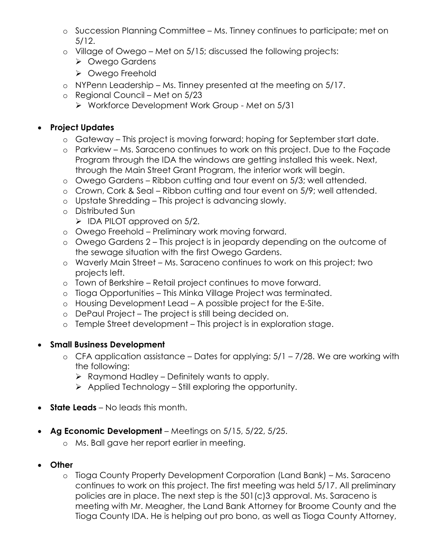- o Succession Planning Committee Ms. Tinney continues to participate; met on 5/12.
- o Village of Owego Met on 5/15; discussed the following projects:
	- Owego Gardens
	- ▶ Owego Freehold
- o NYPenn Leadership Ms. Tinney presented at the meeting on 5/17.
- o Regional Council Met on 5/23
	- ▶ Workforce Development Work Group Met on 5/31

# **Project Updates**

- o Gateway This project is moving forward; hoping for September start date.
- o Parkview Ms. Saraceno continues to work on this project. Due to the Façade Program through the IDA the windows are getting installed this week. Next, through the Main Street Grant Program, the interior work will begin.
- o Owego Gardens Ribbon cutting and tour event on 5/3; well attended.
- o Crown, Cork & Seal Ribbon cutting and tour event on 5/9; well attended.
- o Upstate Shredding This project is advancing slowly.
- o Distributed Sun
	- $\triangleright$  IDA PILOT approved on 5/2.
- o Owego Freehold Preliminary work moving forward.
- o Owego Gardens 2 This project is in jeopardy depending on the outcome of the sewage situation with the first Owego Gardens.
- o Waverly Main Street Ms. Saraceno continues to work on this project; two projects left.
- o Town of Berkshire Retail project continues to move forward.
- o Tioga Opportunities This Minka Village Project was terminated.
- o Housing Development Lead A possible project for the E-Site.
- o DePaul Project The project is still being decided on.
- o Temple Street development This project is in exploration stage.

## **Small Business Development**

- $\circ$  CFA application assistance Dates for applying:  $5/1 7/28$ . We are working with the following:
	- $\triangleright$  Raymond Hadley Definitely wants to apply.
	- $\triangleright$  Applied Technology Still exploring the opportunity.
- **State Leads** No leads this month.
- **Ag Economic Development**  Meetings on 5/15, 5/22, 5/25.
	- o Ms. Ball gave her report earlier in meeting.
- **Other**
	- o Tioga County Property Development Corporation (Land Bank) Ms. Saraceno continues to work on this project. The first meeting was held 5/17. All preliminary policies are in place. The next step is the 501(c)3 approval. Ms. Saraceno is meeting with Mr. Meagher, the Land Bank Attorney for Broome County and the Tioga County IDA. He is helping out pro bono, as well as Tioga County Attorney,